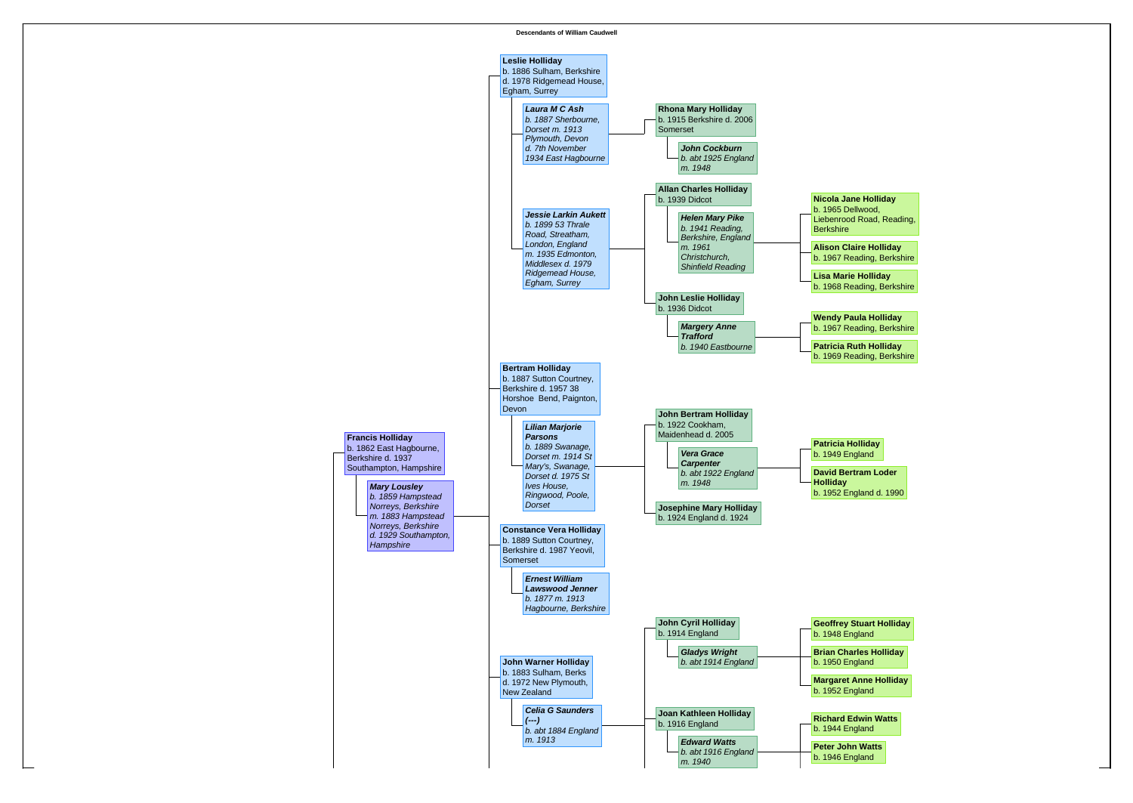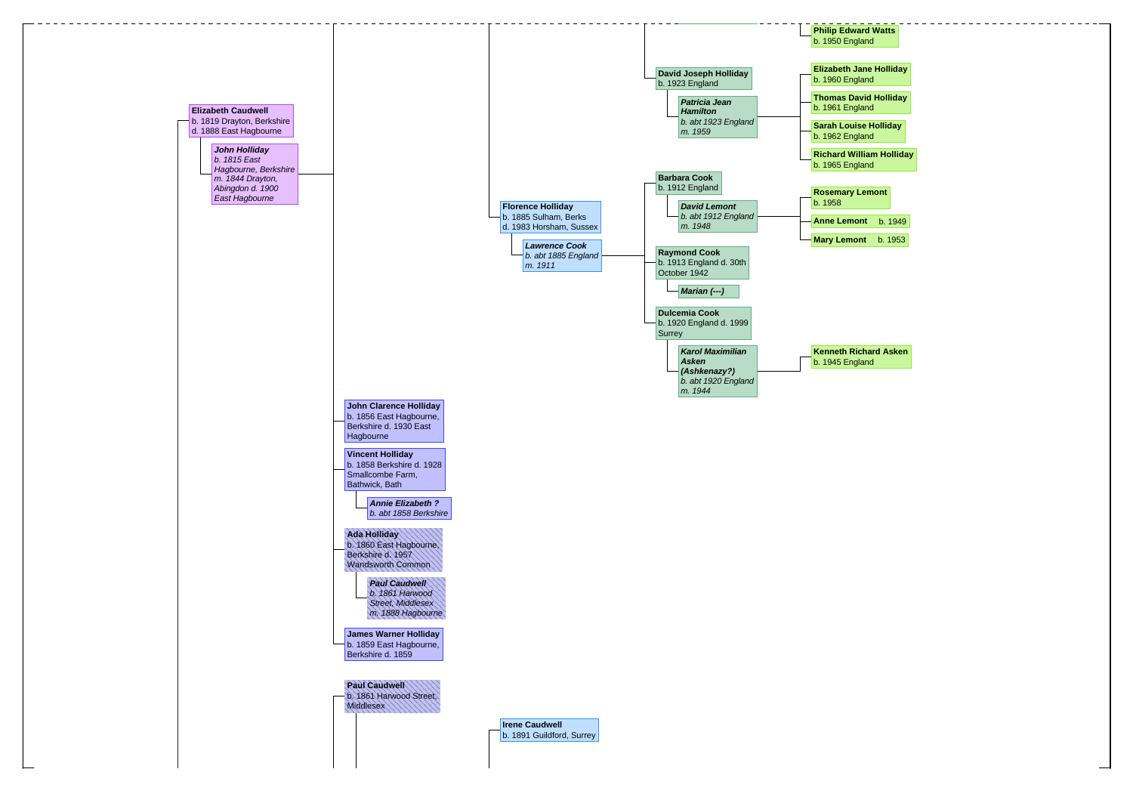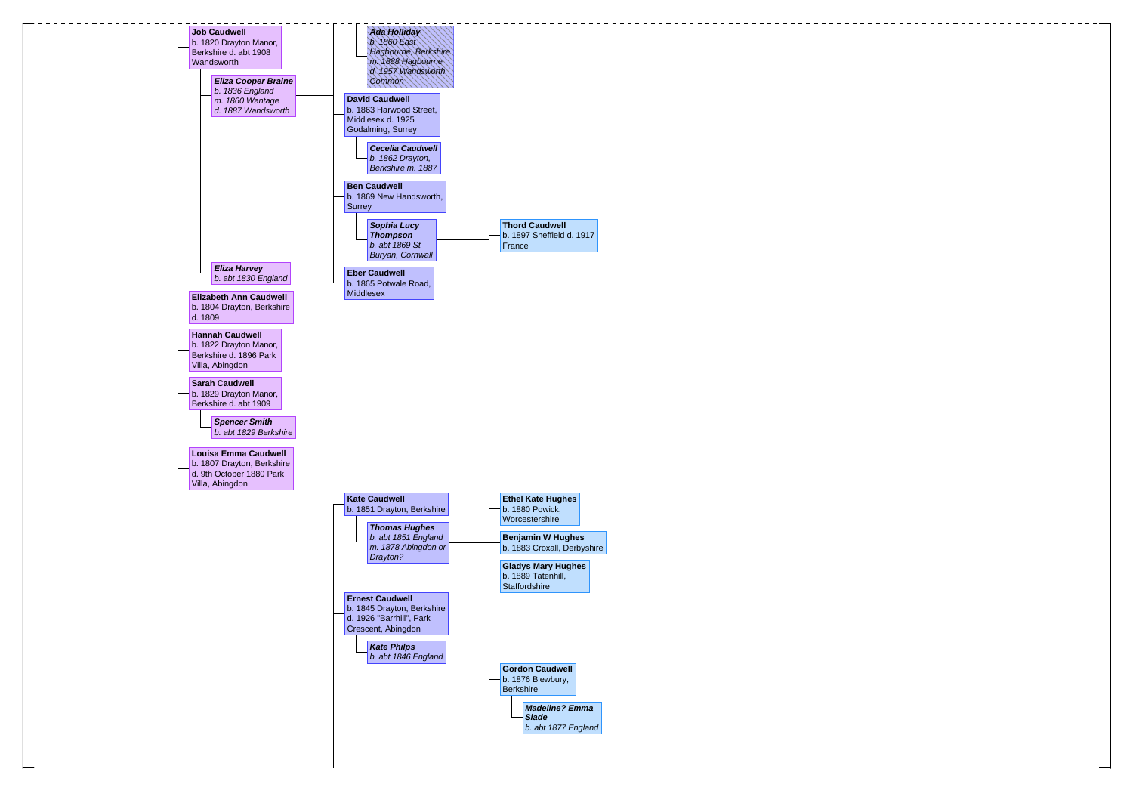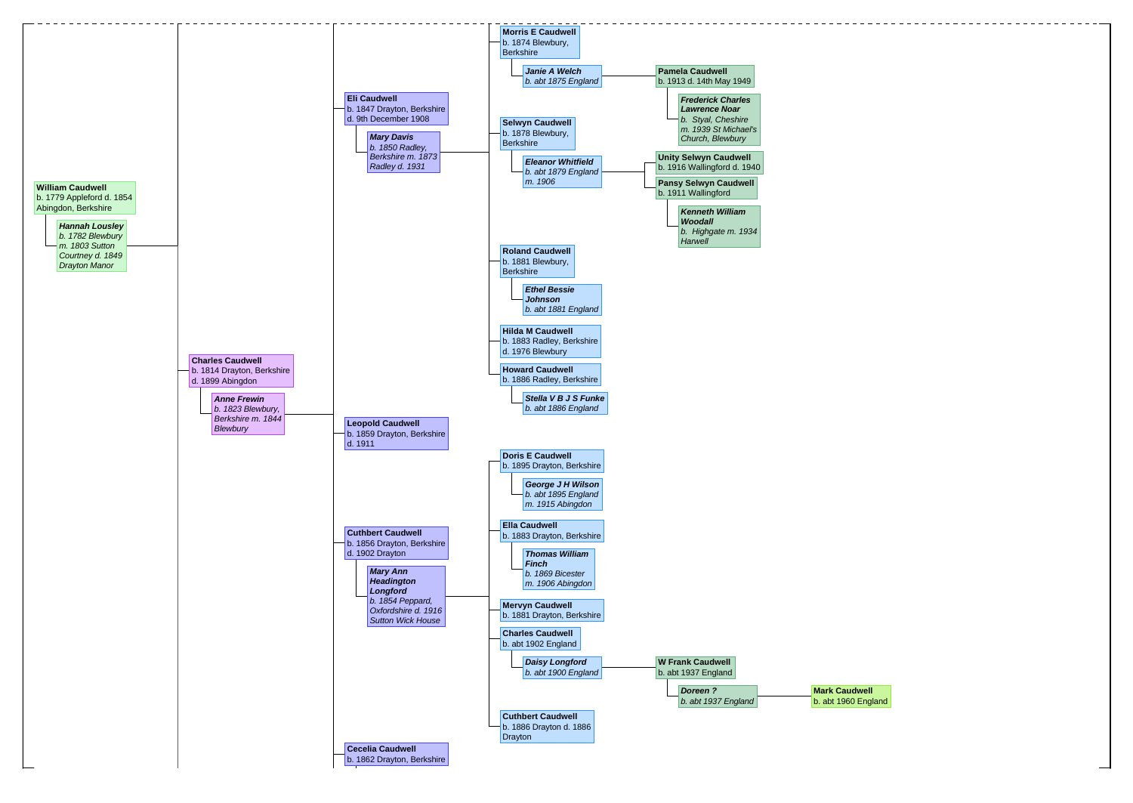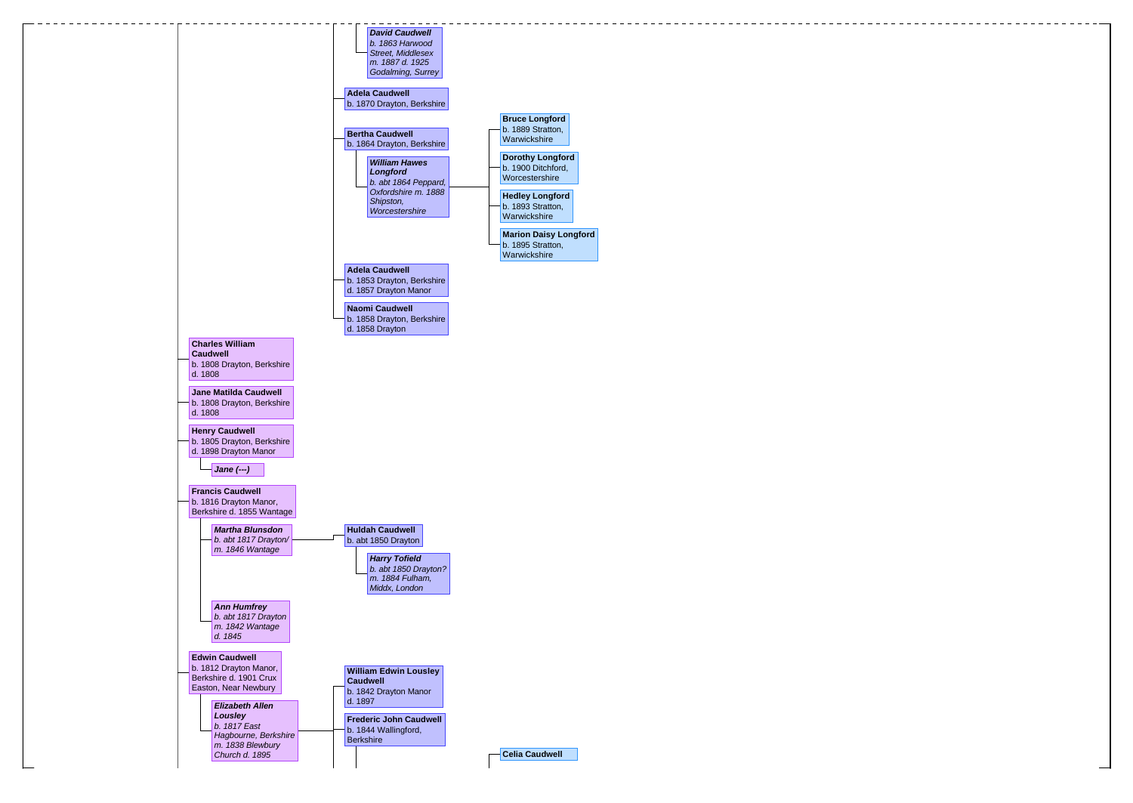